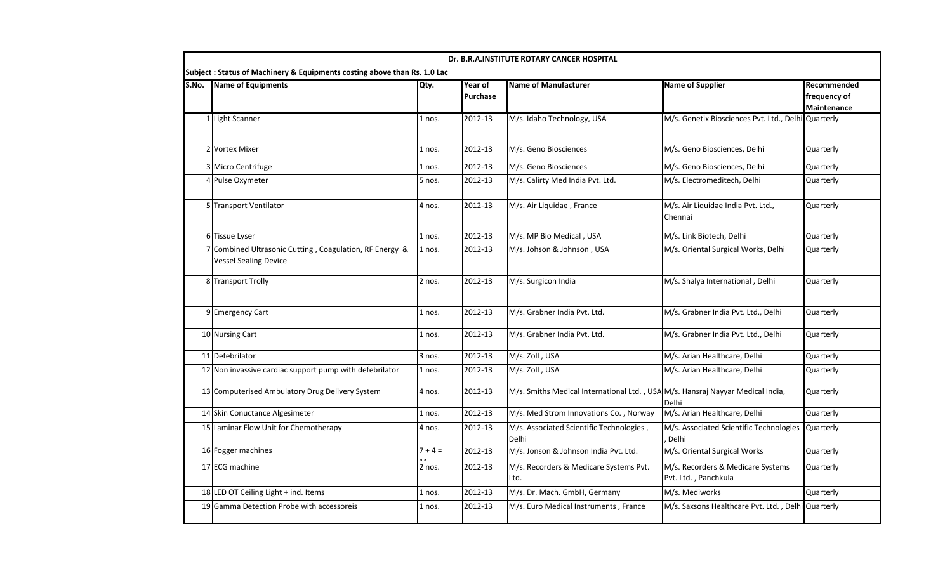| Dr. B.R.A.INSTITUTE ROTARY CANCER HOSPITAL<br>Subject : Status of Machinery & Equipments costing above than Rs. 1.0 Lac |                                                                                       |           |                     |                                                                                |                                                           |                                                   |  |  |  |  |
|-------------------------------------------------------------------------------------------------------------------------|---------------------------------------------------------------------------------------|-----------|---------------------|--------------------------------------------------------------------------------|-----------------------------------------------------------|---------------------------------------------------|--|--|--|--|
| S.No.                                                                                                                   | <b>Name of Equipments</b>                                                             | Qty.      | Year of<br>Purchase | <b>Name of Manufacturer</b>                                                    | <b>Name of Supplier</b>                                   | Recommended<br>frequency of<br><b>Maintenance</b> |  |  |  |  |
|                                                                                                                         | 1 Light Scanner                                                                       | 1 nos.    | 2012-13             | M/s. Idaho Technology, USA                                                     | M/s. Genetix Biosciences Pvt. Ltd., Delhi Quarterly       |                                                   |  |  |  |  |
|                                                                                                                         | 2 Vortex Mixer                                                                        | 1 nos.    | 2012-13             | M/s. Geno Biosciences                                                          | M/s. Geno Biosciences, Delhi                              | Quarterly                                         |  |  |  |  |
|                                                                                                                         | 3 Micro Centrifuge                                                                    | $1$ nos.  | 2012-13             | M/s. Geno Biosciences                                                          | M/s. Geno Biosciences, Delhi                              | Quarterly                                         |  |  |  |  |
|                                                                                                                         | 4 Pulse Oxymeter                                                                      | 5 nos.    | 2012-13             | M/s. Calirty Med India Pvt. Ltd.                                               | M/s. Electromeditech, Delhi                               | Quarterly                                         |  |  |  |  |
|                                                                                                                         | 5 Transport Ventilator                                                                | 4 nos.    | 2012-13             | M/s. Air Liquidae, France                                                      | M/s. Air Liquidae India Pvt. Ltd.,<br>Chennai             | Quarterly                                         |  |  |  |  |
|                                                                                                                         | 6 Tissue Lyser                                                                        | $1$ nos.  | 2012-13             | M/s. MP Bio Medical, USA                                                       | M/s. Link Biotech, Delhi                                  | Quarterly                                         |  |  |  |  |
|                                                                                                                         | Combined Ultrasonic Cutting, Coagulation, RF Energy &<br><b>Vessel Sealing Device</b> | 1 nos.    | 2012-13             | M/s. Johson & Johnson, USA                                                     | M/s. Oriental Surgical Works, Delhi                       | Quarterly                                         |  |  |  |  |
|                                                                                                                         | 8 Transport Trolly                                                                    | 2 nos.    | 2012-13             | M/s. Surgicon India                                                            | M/s. Shalya International, Delhi                          | Quarterly                                         |  |  |  |  |
|                                                                                                                         | 9 Emergency Cart                                                                      | 1 nos.    | 2012-13             | M/s. Grabner India Pvt. Ltd.                                                   | M/s. Grabner India Pvt. Ltd., Delhi                       | Quarterly                                         |  |  |  |  |
|                                                                                                                         | 10 Nursing Cart                                                                       | $1$ nos.  | 2012-13             | M/s. Grabner India Pvt. Ltd.                                                   | M/s. Grabner India Pvt. Ltd., Delhi                       | Quarterly                                         |  |  |  |  |
|                                                                                                                         | 11 Defebrilator                                                                       | 3 nos.    | 2012-13             | M/s. Zoll, USA                                                                 | M/s. Arian Healthcare, Delhi                              | Quarterly                                         |  |  |  |  |
|                                                                                                                         | 12 Non invassive cardiac support pump with defebrilator                               | 1 nos.    | 2012-13             | M/s. Zoll, USA                                                                 | M/s. Arian Healthcare, Delhi                              | Quarterly                                         |  |  |  |  |
|                                                                                                                         | 13 Computerised Ambulatory Drug Delivery System                                       | 4 nos.    | 2012-13             | M/s. Smiths Medical International Ltd., USA M/s. Hansraj Nayyar Medical India, | Delhi                                                     | Quarterly                                         |  |  |  |  |
|                                                                                                                         | 14 Skin Conuctance Algesimeter                                                        | 1 nos.    | 2012-13             | M/s. Med Strom Innovations Co., Norway                                         | M/s. Arian Healthcare, Delhi                              | Quarterly                                         |  |  |  |  |
|                                                                                                                         | 15 Laminar Flow Unit for Chemotherapy                                                 | 4 nos.    | 2012-13             | M/s. Associated Scientific Technologies,<br>Delhi                              | M/s. Associated Scientific Technologies<br>Delhi          | Quarterly                                         |  |  |  |  |
|                                                                                                                         | 16 Fogger machines                                                                    | $7 + 4 =$ | 2012-13             | M/s. Jonson & Johnson India Pvt. Ltd.                                          | M/s. Oriental Surgical Works                              | Quarterly                                         |  |  |  |  |
|                                                                                                                         | 17 ECG machine                                                                        | 2 nos.    | 2012-13             | M/s. Recorders & Medicare Systems Pvt.<br>Ltd.                                 | M/s. Recorders & Medicare Systems<br>Pvt. Ltd., Panchkula | Quarterly                                         |  |  |  |  |
|                                                                                                                         | 18 LED OT Ceiling Light + ind. Items                                                  | 1 nos.    | 2012-13             | M/s. Dr. Mach. GmbH, Germany                                                   | M/s. Mediworks                                            | Quarterly                                         |  |  |  |  |
|                                                                                                                         | 19 Gamma Detection Probe with accessoreis                                             | 1 nos.    | 2012-13             | M/s. Euro Medical Instruments, France                                          | M/s. Saxsons Healthcare Pvt. Ltd., Delhi Quarterly        |                                                   |  |  |  |  |